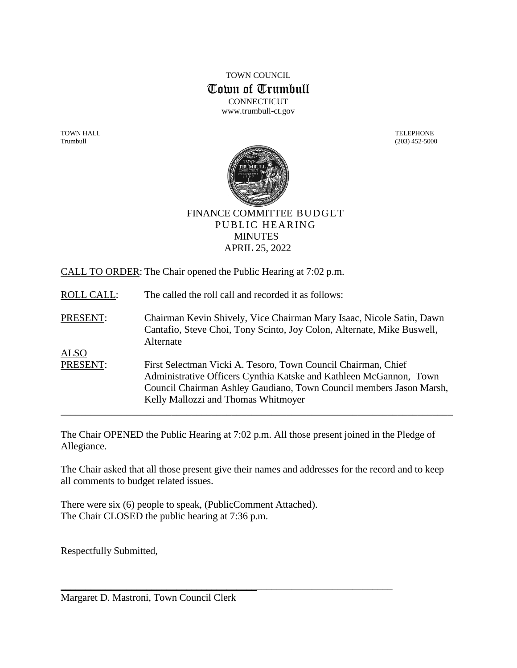TOWN COUNCIL Town of Trumbull **CONNECTICUT** www.trumbull-ct.gov

TOWN HALL TELEPHONE Trumbull (203) 452-5000



FINANCE COMMITTEE BUDGET PUBLIC HEARING **MINUTES** APRIL 25, 2022

CALL TO ORDER: The Chair opened the Public Hearing at 7:02 p.m.

ROLL CALL: The called the roll call and recorded it as follows:

PRESENT: Chairman Kevin Shively, Vice Chairman Mary Isaac, Nicole Satin, Dawn Cantafio, Steve Choi, Tony Scinto, Joy Colon, Alternate, Mike Buswell, Alternate ALSO PRESENT: First Selectman Vicki A. Tesoro, Town Council Chairman, Chief Administrative Officers Cynthia Katske and Kathleen McGannon, Town Council Chairman Ashley Gaudiano, Town Council members Jason Marsh, Kelly Mallozzi and Thomas Whitmoyer

The Chair OPENED the Public Hearing at 7:02 p.m. All those present joined in the Pledge of Allegiance.

\_\_\_\_\_\_\_\_\_\_\_\_\_\_\_\_\_\_\_\_\_\_\_\_\_\_\_\_\_\_\_\_\_\_\_\_\_\_\_\_\_\_\_\_\_\_\_\_\_\_\_\_\_\_\_\_\_\_\_\_\_\_\_\_\_\_\_\_\_\_\_\_\_\_\_\_\_\_

The Chair asked that all those present give their names and addresses for the record and to keep all comments to budget related issues.

 $\overline{\phantom{a}}$  , and the contract of the contract of the contract of the contract of the contract of the contract of the contract of the contract of the contract of the contract of the contract of the contract of the contrac

There were six (6) people to speak, (PublicComment Attached). The Chair CLOSED the public hearing at 7:36 p.m.

Respectfully Submitted,

Margaret D. Mastroni, Town Council Clerk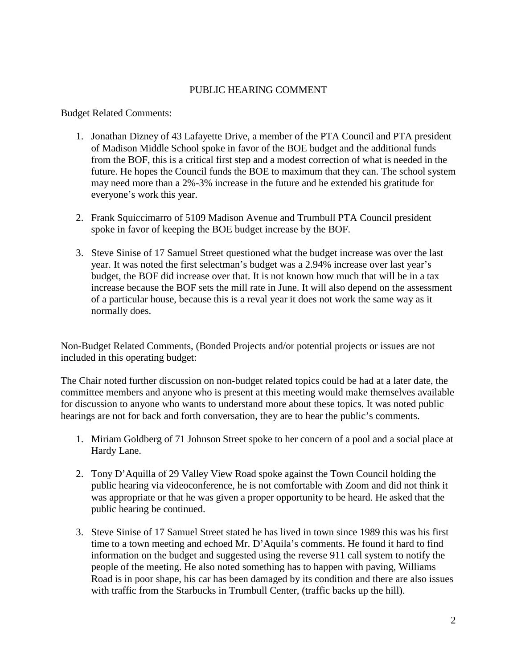## PUBLIC HEARING COMMENT

Budget Related Comments:

- 1. Jonathan Dizney of 43 Lafayette Drive, a member of the PTA Council and PTA president of Madison Middle School spoke in favor of the BOE budget and the additional funds from the BOF, this is a critical first step and a modest correction of what is needed in the future. He hopes the Council funds the BOE to maximum that they can. The school system may need more than a 2%-3% increase in the future and he extended his gratitude for everyone's work this year.
- 2. Frank Squiccimarro of 5109 Madison Avenue and Trumbull PTA Council president spoke in favor of keeping the BOE budget increase by the BOF.
- 3. Steve Sinise of 17 Samuel Street questioned what the budget increase was over the last year. It was noted the first selectman's budget was a 2.94% increase over last year's budget, the BOF did increase over that. It is not known how much that will be in a tax increase because the BOF sets the mill rate in June. It will also depend on the assessment of a particular house, because this is a reval year it does not work the same way as it normally does.

Non-Budget Related Comments, (Bonded Projects and/or potential projects or issues are not included in this operating budget:

The Chair noted further discussion on non-budget related topics could be had at a later date, the committee members and anyone who is present at this meeting would make themselves available for discussion to anyone who wants to understand more about these topics. It was noted public hearings are not for back and forth conversation, they are to hear the public's comments.

- 1. Miriam Goldberg of 71 Johnson Street spoke to her concern of a pool and a social place at Hardy Lane.
- 2. Tony D'Aquilla of 29 Valley View Road spoke against the Town Council holding the public hearing via videoconference, he is not comfortable with Zoom and did not think it was appropriate or that he was given a proper opportunity to be heard. He asked that the public hearing be continued.
- 3. Steve Sinise of 17 Samuel Street stated he has lived in town since 1989 this was his first time to a town meeting and echoed Mr. D'Aquila's comments. He found it hard to find information on the budget and suggested using the reverse 911 call system to notify the people of the meeting. He also noted something has to happen with paving, Williams Road is in poor shape, his car has been damaged by its condition and there are also issues with traffic from the Starbucks in Trumbull Center, (traffic backs up the hill).